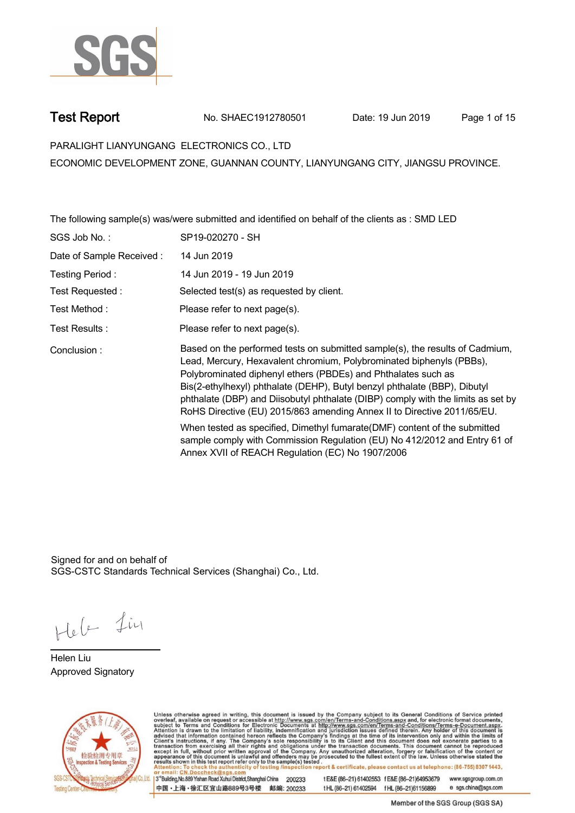

**Test Report. No. SHAEC1912780501 Date: 19 Jun 2019. Page 1 of 15.**

**PARALIGHT LIANYUNGANG ELECTRONICS CO., LTD .**

**ECONOMIC DEVELOPMENT ZONE, GUANNAN COUNTY, LIANYUNGANG CITY, JIANGSU PROVINCE.**

**The following sample(s) was/were submitted and identified on behalf of the clients as : SMD LED .**

| SGS Job No.:              | SP19-020270 - SH                                                                                                                                                                                                                                                                                                                                                                                                                                                  |
|---------------------------|-------------------------------------------------------------------------------------------------------------------------------------------------------------------------------------------------------------------------------------------------------------------------------------------------------------------------------------------------------------------------------------------------------------------------------------------------------------------|
| Date of Sample Received : | 14 Jun 2019                                                                                                                                                                                                                                                                                                                                                                                                                                                       |
| Testing Period:           | 14 Jun 2019 - 19 Jun 2019                                                                                                                                                                                                                                                                                                                                                                                                                                         |
| Test Requested :          | Selected test(s) as requested by client.                                                                                                                                                                                                                                                                                                                                                                                                                          |
| Test Method :             | Please refer to next page(s).                                                                                                                                                                                                                                                                                                                                                                                                                                     |
| Test Results :            | Please refer to next page(s).                                                                                                                                                                                                                                                                                                                                                                                                                                     |
| Conclusion:               | Based on the performed tests on submitted sample(s), the results of Cadmium,<br>Lead, Mercury, Hexavalent chromium, Polybrominated biphenyls (PBBs),<br>Polybrominated diphenyl ethers (PBDEs) and Phthalates such as<br>Bis(2-ethylhexyl) phthalate (DEHP), Butyl benzyl phthalate (BBP), Dibutyl<br>phthalate (DBP) and Diisobutyl phthalate (DIBP) comply with the limits as set by<br>RoHS Directive (EU) 2015/863 amending Annex II to Directive 2011/65/EU. |
|                           | When tested as specified, Dimethyl fumarate (DMF) content of the submitted<br>sample comply with Commission Regulation (EU) No 412/2012 and Entry 61 of<br>Annex XVII of REACH Regulation (EC) No 1907/2006                                                                                                                                                                                                                                                       |

Signed for and on behalf of SGS-CSTC Standards Technical Services (Shanghai) Co., Ltd..

Hele Lin

**Helen Liu. Approved Signatory .**



Unless otherwise agreed in writing, this document is issued by the Company subject to its General Conditions of Service printed<br>overleaf, available on request or accessible at http://www.sgs.com/en/Terms-and-Conditions.asp

3<sup>rd</sup>Building, No.889 Yishan Road Xuhui District, Shanghai China 200233 中国·上海·徐汇区宜山路889号3号楼 邮编: 200233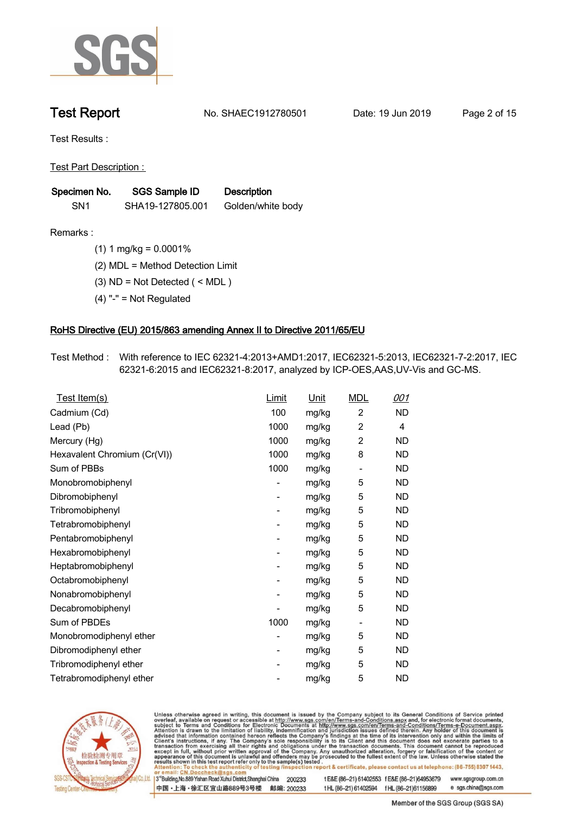

**Test Report. No. SHAEC1912780501 Date: 19 Jun 2019. Page 2 of 15.**

**Test Results :.**

**Test Part Description : .**

| Specimen No.    | SGS Sample ID    | <b>Description</b> |  |
|-----------------|------------------|--------------------|--|
| SN <sub>1</sub> | SHA19-127805.001 | Golden/white body  |  |

- **Remarks :.(1) 1 mg/kg = 0.0001% .**
	- **(2) MDL = Method Detection Limit .**
	- **(3) ND = Not Detected ( < MDL ) .**
	- **(4) "-" = Not Regulated .**

### **RoHS Directive (EU) 2015/863 amending Annex II to Directive 2011/65/EU.**

**Test Method :. With reference to IEC 62321-4:2013+AMD1:2017, IEC62321-5:2013, IEC62321-7-2:2017, IEC 62321-6:2015 and IEC62321-8:2017, analyzed by ICP-OES,AAS,UV-Vis and GC-MS. .**

| $\overline{2}$<br><b>ND</b><br>Cadmium (Cd)<br>100<br>mg/kg<br>$\overline{2}$<br>Lead (Pb)<br>1000<br>mg/kg<br>$\overline{4}$<br>$\overline{2}$<br><b>ND</b><br>1000<br>Mercury (Hg)<br>mg/kg<br>1000<br>8<br>Hexavalent Chromium (Cr(VI))<br>ND<br>mg/kg<br>Sum of PBBs<br>1000<br>mg/kg<br>ND<br>$\overline{\phantom{a}}$<br>5<br>ND<br>Monobromobiphenyl<br>mg/kg<br>-<br>Dibromobiphenyl<br>5<br><b>ND</b><br>mg/kg<br>$\overline{\phantom{0}}$<br>Tribromobiphenyl<br>5<br><b>ND</b><br>mg/kg<br>$\overline{\phantom{0}}$<br>5<br>Tetrabromobiphenyl<br>ND<br>mg/kg<br>- |
|-------------------------------------------------------------------------------------------------------------------------------------------------------------------------------------------------------------------------------------------------------------------------------------------------------------------------------------------------------------------------------------------------------------------------------------------------------------------------------------------------------------------------------------------------------------------------------|
|                                                                                                                                                                                                                                                                                                                                                                                                                                                                                                                                                                               |
|                                                                                                                                                                                                                                                                                                                                                                                                                                                                                                                                                                               |
|                                                                                                                                                                                                                                                                                                                                                                                                                                                                                                                                                                               |
|                                                                                                                                                                                                                                                                                                                                                                                                                                                                                                                                                                               |
|                                                                                                                                                                                                                                                                                                                                                                                                                                                                                                                                                                               |
|                                                                                                                                                                                                                                                                                                                                                                                                                                                                                                                                                                               |
|                                                                                                                                                                                                                                                                                                                                                                                                                                                                                                                                                                               |
|                                                                                                                                                                                                                                                                                                                                                                                                                                                                                                                                                                               |
|                                                                                                                                                                                                                                                                                                                                                                                                                                                                                                                                                                               |
| 5<br>ND<br>Pentabromobiphenyl<br>mg/kg<br>$\overline{\phantom{0}}$                                                                                                                                                                                                                                                                                                                                                                                                                                                                                                            |
| 5<br>Hexabromobiphenyl<br>ND<br>mg/kg<br>-                                                                                                                                                                                                                                                                                                                                                                                                                                                                                                                                    |
| 5<br>Heptabromobiphenyl<br><b>ND</b><br>mg/kg<br>$\overline{\phantom{0}}$                                                                                                                                                                                                                                                                                                                                                                                                                                                                                                     |
| 5<br><b>ND</b><br>Octabromobiphenyl<br>mg/kg<br>-                                                                                                                                                                                                                                                                                                                                                                                                                                                                                                                             |
| 5<br>ND<br>Nonabromobiphenyl<br>mg/kg<br>-                                                                                                                                                                                                                                                                                                                                                                                                                                                                                                                                    |
| 5<br><b>ND</b><br>Decabromobiphenyl<br>mg/kg<br>-                                                                                                                                                                                                                                                                                                                                                                                                                                                                                                                             |
| Sum of PBDEs<br>1000<br>ND<br>mg/kg<br>-                                                                                                                                                                                                                                                                                                                                                                                                                                                                                                                                      |
| Monobromodiphenyl ether<br>5<br>ND<br>mg/kg<br>-                                                                                                                                                                                                                                                                                                                                                                                                                                                                                                                              |
| 5<br><b>ND</b><br>Dibromodiphenyl ether<br>mg/kg<br>-                                                                                                                                                                                                                                                                                                                                                                                                                                                                                                                         |
| 5<br>Tribromodiphenyl ether<br>ND<br>mg/kg<br>-                                                                                                                                                                                                                                                                                                                                                                                                                                                                                                                               |
| 5<br><b>ND</b><br>Tetrabromodiphenyl ether<br>mg/kg                                                                                                                                                                                                                                                                                                                                                                                                                                                                                                                           |



Unless otherwise agreed in writing, this document is issued by the Company subject to its General Conditions of Service printed overleaf, available on request or accessible at http://www.sgs.com/en/Terms-and-Conditions.asp

3<sup>rd</sup>Building, No.889 Yishan Road Xuhui District, Shanghai China 200233 中国·上海·徐汇区宜山路889号3号楼 邮编: 200233 t E&E (86-21) 61402553 f E&E (86-21)64953679 www.sgsgroup.com.cn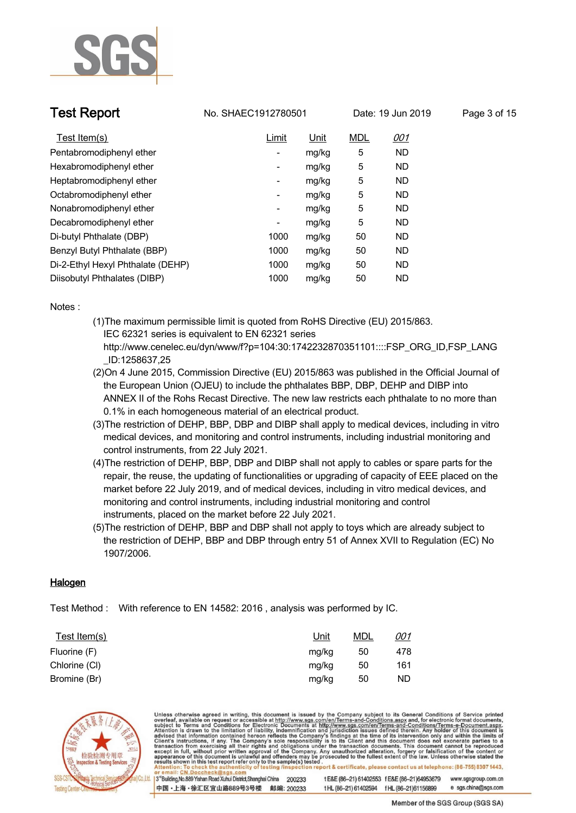

**Test Report No. SHAEC1912780501** Date: 19 Jun 2019 Page 3 of 15

| Test Item(s)                      | Limit                    | Unit  | <b>MDL</b> | <u>001</u> |
|-----------------------------------|--------------------------|-------|------------|------------|
| Pentabromodiphenyl ether          | $\overline{\phantom{a}}$ | mg/kg | 5          | <b>ND</b>  |
| Hexabromodiphenyl ether           | $\overline{\phantom{a}}$ | mg/kg | 5          | <b>ND</b>  |
| Heptabromodiphenyl ether          | -                        | mg/kg | 5          | <b>ND</b>  |
| Octabromodiphenyl ether           | $\overline{\phantom{a}}$ | mg/kg | 5          | <b>ND</b>  |
| Nonabromodiphenyl ether           | ۰                        | mg/kg | 5          | <b>ND</b>  |
| Decabromodiphenyl ether           | ۰                        | mg/kg | 5          | <b>ND</b>  |
| Di-butyl Phthalate (DBP)          | 1000                     | mg/kg | 50         | <b>ND</b>  |
| Benzyl Butyl Phthalate (BBP)      | 1000                     | mg/kg | 50         | <b>ND</b>  |
| Di-2-Ethyl Hexyl Phthalate (DEHP) | 1000                     | mg/kg | 50         | <b>ND</b>  |
| Diisobutyl Phthalates (DIBP)      | 1000                     | mg/kg | 50         | <b>ND</b>  |

**Notes :.**

- **(1)The maximum permissible limit is quoted from RoHS Directive (EU) 2015/863. IEC 62321 series is equivalent to EN 62321 series http://www.cenelec.eu/dyn/www/f?p=104:30:1742232870351101::::FSP\_ORG\_ID,FSP\_LANG**
	- **\_ID:1258637,25**
- **(2)On 4 June 2015, Commission Directive (EU) 2015/863 was published in the Official Journal of the European Union (OJEU) to include the phthalates BBP, DBP, DEHP and DIBP into ANNEX II of the Rohs Recast Directive. The new law restricts each phthalate to no more than 0.1% in each homogeneous material of an electrical product.**
- **(3)The restriction of DEHP, BBP, DBP and DIBP shall apply to medical devices, including in vitro medical devices, and monitoring and control instruments, including industrial monitoring and control instruments, from 22 July 2021.**
- **(4)The restriction of DEHP, BBP, DBP and DIBP shall not apply to cables or spare parts for the repair, the reuse, the updating of functionalities or upgrading of capacity of EEE placed on the market before 22 July 2019, and of medical devices, including in vitro medical devices, and monitoring and control instruments, including industrial monitoring and control instruments, placed on the market before 22 July 2021.**
- **(5)The restriction of DEHP, BBP and DBP shall not apply to toys which are already subject to the restriction of DEHP, BBP and DBP through entry 51 of Annex XVII to Regulation (EC) No 1907/2006..**

### **Halogen.**

**Test Method :. With reference to EN 14582: 2016 , analysis was performed by IC. .**

| Test Item(s)  | <u>Unit</u> | <u>MDL</u> | <u>001</u> |
|---------------|-------------|------------|------------|
| Fluorine (F)  | mg/kg       | 50         | 478        |
| Chlorine (CI) | mg/kg       | 50         | 161        |
| Bromine (Br)  | mg/kg       | 50         | ND         |



Unless otherwise agreed in writing, this document is issued by the Company subject to its General Conditions of Service printed<br>overleaf, available on request or accessible at http://www.sgs.com/en/Terms-and-Conditions.asp on report & certificate, please contact us at telephone: (86-755) 8307 1443, esting /ins 3<sup>rd</sup>Building, No.889 Yishan Road Xuhui District, Shanghai China 200233 t E&E (86-21) 61402553 f E&E (86-21)64953679 www.sgsgroup.com.cn 中国·上海·徐汇区宜山路889号3号楼 邮编: 200233 e sgs.china@sgs.com tHL (86-21) 61402594 fHL (86-21) 61156899

Member of the SGS Group (SGS SA)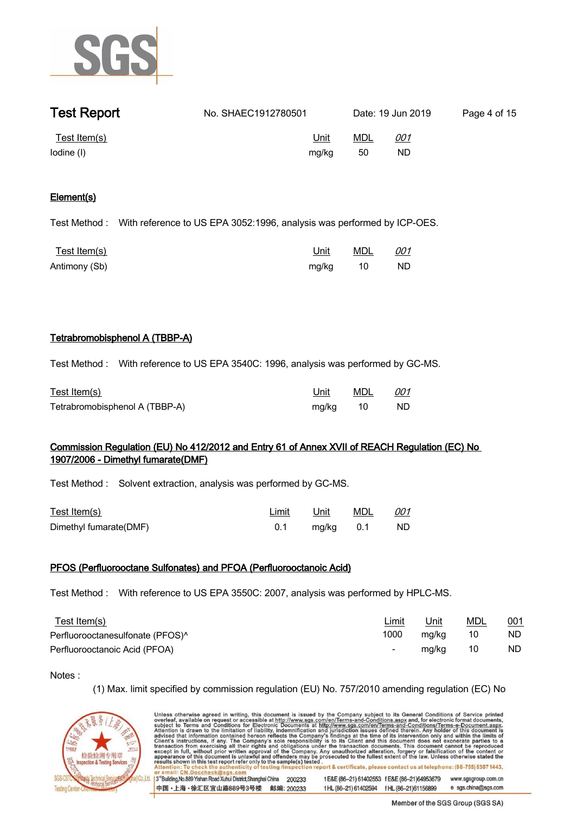

| <b>Test Report</b>         | No. SHAEC1912780501 |                      |           | Date: 19 Jun 2019 | Page 4 of 15 |
|----------------------------|---------------------|----------------------|-----------|-------------------|--------------|
| Test Item(s)<br>lodine (I) |                     | <u>Unit</u><br>mg/kg | MDL<br>50 | <u>001</u><br>ND. |              |

### **Element(s).**

**Test Method :. With reference to US EPA 3052:1996, analysis was performed by ICP-OES. .**

| <u>Test Item(s)</u> | Unit     | MDL 001 |    |
|---------------------|----------|---------|----|
| Antimony (Sb)       | mg/kg 10 |         | ND |

### **Tetrabromobisphenol A (TBBP-A).**

**Test Method :. With reference to US EPA 3540C: 1996, analysis was performed by GC-MS. .**

| Test Item(s)                   | Unit     | MDL | 001 |
|--------------------------------|----------|-----|-----|
| Tetrabromobisphenol A (TBBP-A) | mg/kg 10 |     | ND. |

# **Commission Regulation (EU) No 412/2012 and Entry 61 of Annex XVII of REACH Regulation (EC) No 1907/2006 - Dimethyl fumarate(DMF).**

**Test Method :. Solvent extraction, analysis was performed by GC-MS. .**

| Test Item(s)           |     | Limit Unit MDL 001 |      |
|------------------------|-----|--------------------|------|
| Dimethyl fumarate(DMF) | 0.1 | mg/kg  0.1         | ND . |

### **PFOS (Perfluorooctane Sulfonates) and PFOA (Perfluorooctanoic Acid).**

**Test Method :. With reference to US EPA 3550C: 2007, analysis was performed by HPLC-MS. .**

| Test Item(s)                                 | <u>Limit</u> | Unit  | <u>MDL</u> | 001 |
|----------------------------------------------|--------------|-------|------------|-----|
| Perfluorooctanesulfonate (PFOS) <sup>^</sup> | 1000         | mg/kg | 10         | ND  |
| Perfluorooctanoic Acid (PFOA)                | $\sim$       | mg/kg | 10         | ND  |

**Notes :.**

**(1) Max. limit specified by commission regulation (EU) No. 757/2010 amending regulation (EC) No** 



Unless otherwise agreed in writing, this document is issued by the Company subject to its General Conditions of Service printed overleaf, available on request or accessible at http://www.sgs.com/en/Terms-and-Conditions.asp tion report & certificate, please contact us at telephone: (86-755) 8307 1443, ftesting/insp t E&E (86-21) 61402553 f E&E (86-21)64953679 www.sgsgroup.com.cn 3<sup>rd</sup>Building, No.889 Yishan Road Xuhui District, Shanghai China 200233 中国·上海·徐汇区宜山路889号3号楼 邮编: 200233 t HL (86-21) 61402594 f HL (86-21) 61156899 e sgs.china@sgs.com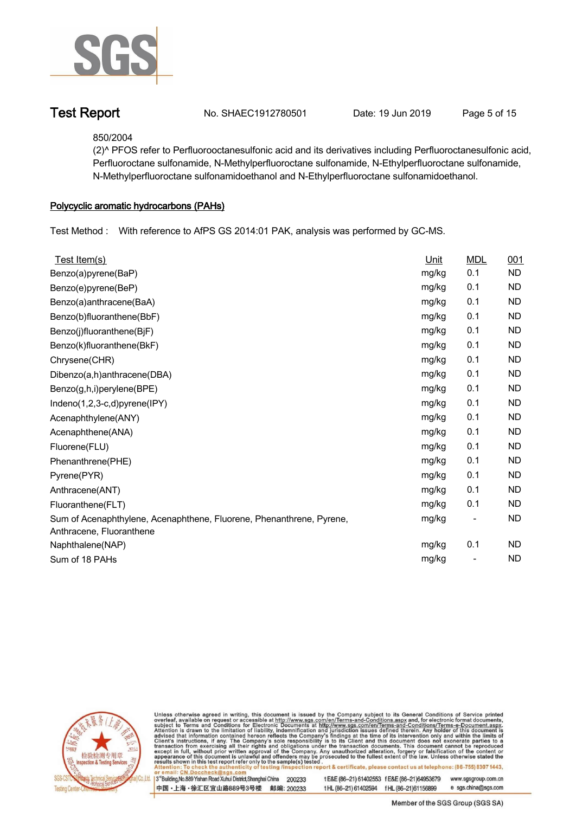

**Test Report. No. SHAEC1912780501 Date: 19 Jun 2019. Page 5 of 15.**

**850/2004**

**(2)^ PFOS refer to Perfluorooctanesulfonic acid and its derivatives including Perfluoroctanesulfonic acid, Perfluoroctane sulfonamide, N-Methylperfluoroctane sulfonamide, N-Ethylperfluoroctane sulfonamide, N-Methylperfluoroctane sulfonamidoethanol and N-Ethylperfluoroctane sulfonamidoethanol. .**

### **Polycyclic aromatic hydrocarbons (PAHs).**

**Test Method :. With reference to AfPS GS 2014:01 PAK, analysis was performed by GC-MS. .**

| Test Item(s)                                                                                     | Unit  | <b>MDL</b>                   | 001       |
|--------------------------------------------------------------------------------------------------|-------|------------------------------|-----------|
| Benzo(a)pyrene(BaP)                                                                              | mg/kg | 0.1                          | <b>ND</b> |
| Benzo(e)pyrene(BeP)                                                                              | mg/kg | 0.1                          | <b>ND</b> |
| Benzo(a)anthracene(BaA)                                                                          | mg/kg | 0.1                          | <b>ND</b> |
| Benzo(b)fluoranthene(BbF)                                                                        | mg/kg | 0.1                          | <b>ND</b> |
| Benzo(j)fluoranthene(BjF)                                                                        | mg/kg | 0.1                          | <b>ND</b> |
| Benzo(k)fluoranthene(BkF)                                                                        | mg/kg | 0.1                          | <b>ND</b> |
| Chrysene(CHR)                                                                                    | mg/kg | 0.1                          | <b>ND</b> |
| Dibenzo(a,h)anthracene(DBA)                                                                      | mg/kg | 0.1                          | <b>ND</b> |
| Benzo(g,h,i)perylene(BPE)                                                                        | mg/kg | 0.1                          | <b>ND</b> |
| Indeno(1,2,3-c,d)pyrene(IPY)                                                                     | mg/kg | 0.1                          | <b>ND</b> |
| Acenaphthylene(ANY)                                                                              | mg/kg | 0.1                          | <b>ND</b> |
| Acenaphthene(ANA)                                                                                | mg/kg | 0.1                          | <b>ND</b> |
| Fluorene(FLU)                                                                                    | mg/kg | 0.1                          | <b>ND</b> |
| Phenanthrene(PHE)                                                                                | mg/kg | 0.1                          | <b>ND</b> |
| Pyrene(PYR)                                                                                      | mg/kg | 0.1                          | <b>ND</b> |
| Anthracene(ANT)                                                                                  | mg/kg | 0.1                          | <b>ND</b> |
| Fluoranthene(FLT)                                                                                | mg/kg | 0.1                          | <b>ND</b> |
| Sum of Acenaphthylene, Acenaphthene, Fluorene, Phenanthrene, Pyrene,<br>Anthracene, Fluoranthene | mg/kg | $\qquad \qquad \blacksquare$ | <b>ND</b> |
| Naphthalene(NAP)                                                                                 | mg/kg | 0.1                          | <b>ND</b> |
| Sum of 18 PAHs                                                                                   | mg/kg |                              | <b>ND</b> |



Unless otherwise agreed in writing, this document is issued by the Company subject to its General Conditions of Service printed<br>overleaf, available on request or accessible at http://www.sgs.com/en/Terms-and-Conditions.asp ion report & certificate, please contact us at telephone: (86-755) 8307 1443, ity o testing /insp

13<sup>rd</sup> Building, No.889 Yishan Road Xuhui District, Shanghai China 200233 中国·上海·徐汇区宜山路889号3号楼 邮编: 200233 t E&E (86-21) 61402553 f E&E (86-21) 64953679 www.sgsgroup.com.cn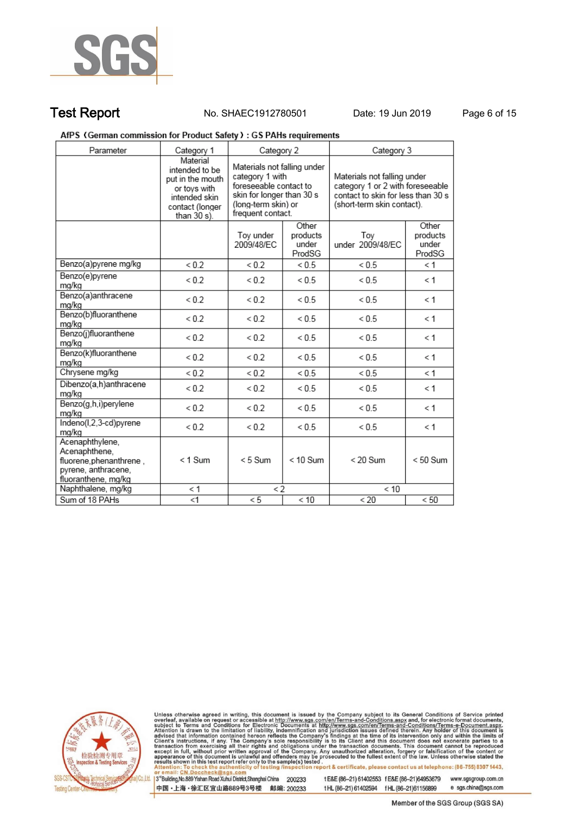

### **Test Report. No. SHAEC1912780501 Date: 19 Jun 2019. Page 6 of 15.**

### AfPS (German commission for Product Safety): GS PAHs requirements

| Parameter                                                                                                 | Category 1                                                                                                        | Category 2                                                                                                                                        |              | Category 3                                                                                                                          |                                      |  |
|-----------------------------------------------------------------------------------------------------------|-------------------------------------------------------------------------------------------------------------------|---------------------------------------------------------------------------------------------------------------------------------------------------|--------------|-------------------------------------------------------------------------------------------------------------------------------------|--------------------------------------|--|
|                                                                                                           | Material<br>intended to be<br>put in the mouth<br>or toys with<br>intended skin<br>contact (longer<br>than 30 s). | Materials not falling under<br>category 1 with<br>foreseeable contact to<br>skin for longer than 30 s<br>(long-term skin) or<br>frequent contact. |              | Materials not falling under<br>category 1 or 2 with foreseeable<br>contact to skin for less than 30 s<br>(short-term skin contact). |                                      |  |
|                                                                                                           |                                                                                                                   | Other<br>Toy under<br>products<br>under<br>2009/48/EC<br>ProdSG                                                                                   |              | Tov<br>under 2009/48/EC                                                                                                             | Other<br>products<br>under<br>ProdSG |  |
| Benzo(a)pyrene mg/kg                                                                                      | ${}_{0.2}$                                                                                                        | ${}_{0.2}$                                                                                                                                        | ${}_{0.5}$   | < 0.5                                                                                                                               | $\leq 1$                             |  |
| Benzo(e)pyrene<br>mg/kg                                                                                   | ${}_{0.2}$                                                                                                        | ${}_{0.2}$                                                                                                                                        | ${}_{0.5}$   | ${}_{< 0.5}$                                                                                                                        | $\leq 1$                             |  |
| Benzo(a)anthracene<br>ma/ka                                                                               | ${}_{0.2}$                                                                                                        | ${}_{0.2}$                                                                                                                                        | ${}_{<0.5}$  | ${}_{< 0.5}$                                                                                                                        | $\leq 1$                             |  |
| Benzo(b)fluoranthene<br>mg/kg                                                                             | ${}_{0.2}$                                                                                                        | ${}_{0.2}$                                                                                                                                        | ${}_{<0.5}$  | ${}_{0.5}$                                                                                                                          | $\leq 1$                             |  |
| Benzo(j)fluoranthene<br>mg/kg                                                                             | ${}_{0.2}$                                                                                                        | ${}_{0.2}$                                                                                                                                        | ${}_{<0.5}$  | ${}_{< 0.5}$                                                                                                                        | $\leq 1$                             |  |
| Benzo(k)fluoranthene<br>mg/kg                                                                             | ${}_{0.2}$                                                                                                        | ${}_{0.2}$                                                                                                                                        | ${}_{<0.5}$  | ${}_{<0.5}$                                                                                                                         | $\leq 1$                             |  |
| Chrysene mg/kg                                                                                            | ${}_{0.2}$                                                                                                        | ${}_{0.2}$                                                                                                                                        | ${}_{< 0.5}$ | ${}_{<0.5}$                                                                                                                         | < 1                                  |  |
| Dibenzo(a,h)anthracene<br>mg/kg                                                                           | ${}_{0.2}$                                                                                                        | ${}_{0.2}$                                                                                                                                        | ${}_{<0.5}$  | ${}_{0.5}$                                                                                                                          | $\leq 1$                             |  |
| Benzo(g,h,i)perylene<br>mg/kg                                                                             | ${}_{0.2}$                                                                                                        | ${}_{0.2}$                                                                                                                                        | ${}_{<0.5}$  | ${}_{<0.5}$                                                                                                                         | $\leq 1$                             |  |
| Indeno(I,2,3-cd)pyrene<br>mg/kg                                                                           | ${}_{0.2}$                                                                                                        | ${}_{0.2}$                                                                                                                                        | ${}_{0.5}$   | ${}< 0.5$                                                                                                                           | $\leq 1$                             |  |
| Acenaphthylene,<br>Acenaphthene,<br>fluorene, phenanthrene,<br>pyrene, anthracene,<br>fluoranthene, mg/kg | $<$ 1 Sum                                                                                                         | $< 5$ Sum                                                                                                                                         | $< 10$ Sum   | $< 20$ Sum                                                                                                                          | $< 50$ Sum                           |  |
| Naphthalene, mg/kg                                                                                        | < 1                                                                                                               | $\lt 2$                                                                                                                                           |              | < 10                                                                                                                                |                                      |  |
| Sum of 18 PAHs                                                                                            | $<$ 1                                                                                                             | < 10<br>< 5                                                                                                                                       |              | $\overline{20}$                                                                                                                     | < 50                                 |  |



Unless otherwise agreed in writing, this document is issued by the Company subject to its General Conditions of Service printed overleaf, available on request or accessible at http://www.sgs.com/en/Terms-and-Conditions.asp

3<sup>rd</sup>Building, No.889 Yishan Road Xuhui District, Shanghai China 200233 中国·上海·徐汇区宜山路889号3号楼 邮编: 200233 t E&E (86-21) 61402553 f E&E (86-21)64953679 www.sgsgroup.com.cn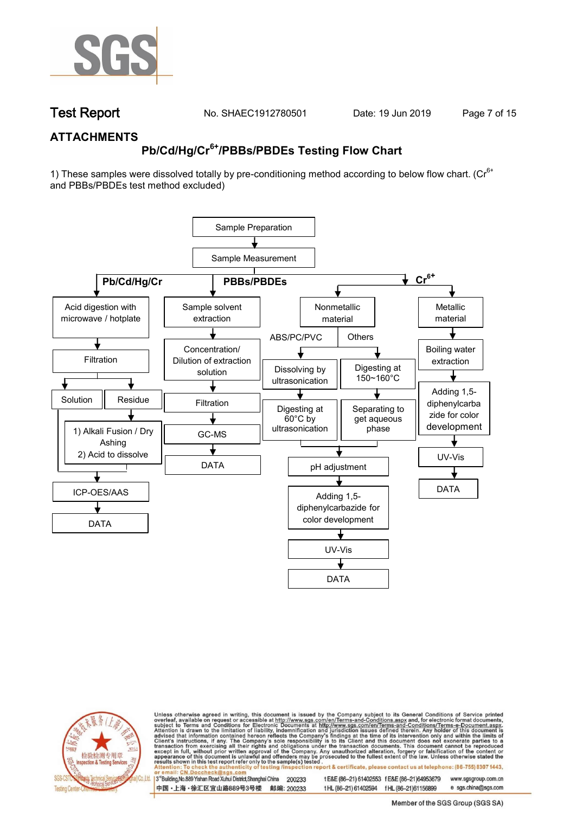

**Test Report. No. SHAEC1912780501 Date: 19 Jun 2019. Page 7 of 15.**

### **ATTACHMENTS**

# **Pb/Cd/Hg/Cr6+/PBBs/PBDEs Testing Flow Chart**

1) These samples were dissolved totally by pre-conditioning method according to below flow chart. ( $Cr<sup>6+</sup>$ and PBBs/PBDEs test method excluded)





Unless otherwise agreed in writing, this document is issued by the Company subject to its General Conditions of Service printed overleaf, available on request or accessible at http://www.sgs.com/en/Terms-and-Conditions.asp on report & certificate, please contact us at telephone: (86-755) 8307 1443, esting /ins

13<sup>rd</sup> Building, No.889 Yishan Road Xuhui District, Shanghai China 200233 中国·上海·徐汇区宜山路889号3号楼 邮编: 200233 t E&E (86-21) 61402553 f E&E (86-21)64953679 www.sgsgroup.com.cn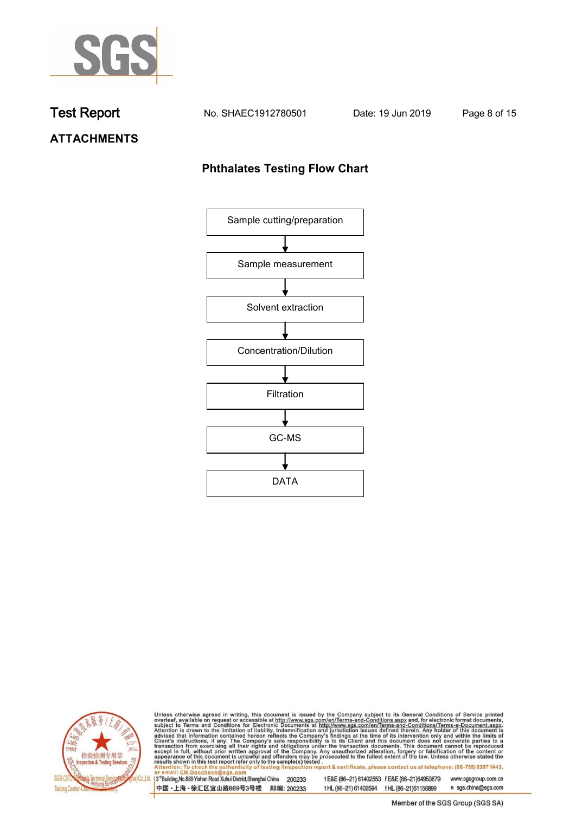

**Test Report. No. SHAEC1912780501 Date: 19 Jun 2019. Page 8 of 15.**

# **ATTACHMENTS**

### **Phthalates Testing Flow Chart**





Unless otherwise agreed in writing, this document is issued by the Company subject to its General Conditions of Service printed overleaf, available on request or accessible at http://www.sgs.com/en/Terms-and-Conditions.asp

3<sup>rd</sup>Building, No.889 Yishan Road Xuhui District, Shanghai China 200233 中国·上海·徐汇区宜山路889号3号楼 邮编: 200233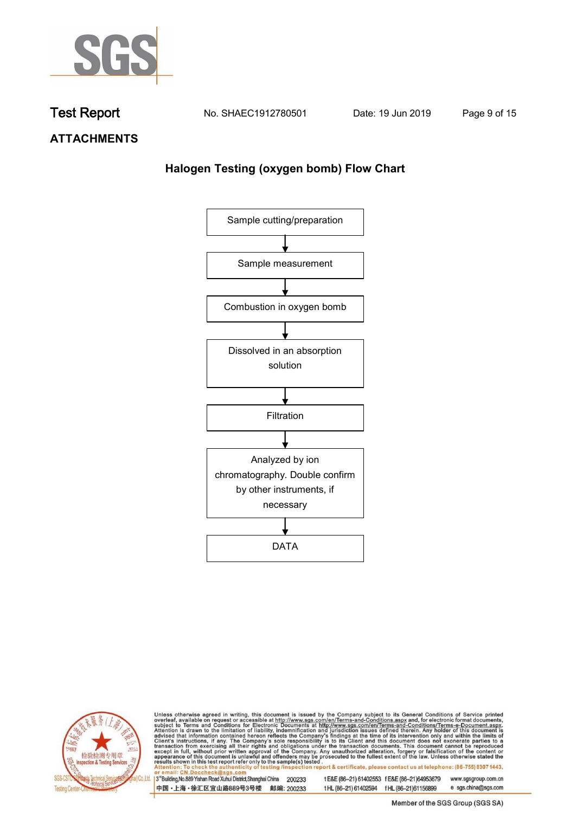

**Test Report. No. SHAEC1912780501 Date: 19 Jun 2019. Page 9 of 15.**

**ATTACHMENTS**

# **Halogen Testing (oxygen bomb) Flow Chart**





Unless otherwise agreed in writing, this document is issued by the Company subject to its General Conditions of Service printed overleaf, available on request or accessible at http://www.sgs.com/en/Terms-and-Conditions.asp

3<sup>rd</sup>Building, No.889 Yishan Road Xuhui District, Shanghai China 200233 中国·上海·徐汇区宜山路889号3号楼 邮编: 200233 t E&E (86-21) 61402553 f E&E (86-21)64953679 www.sgsgroup.com.cn

t HL (86-21) 61402594 f HL (86-21) 61156899 e sgs.china@sgs.com Member of the SGS Group (SGS SA)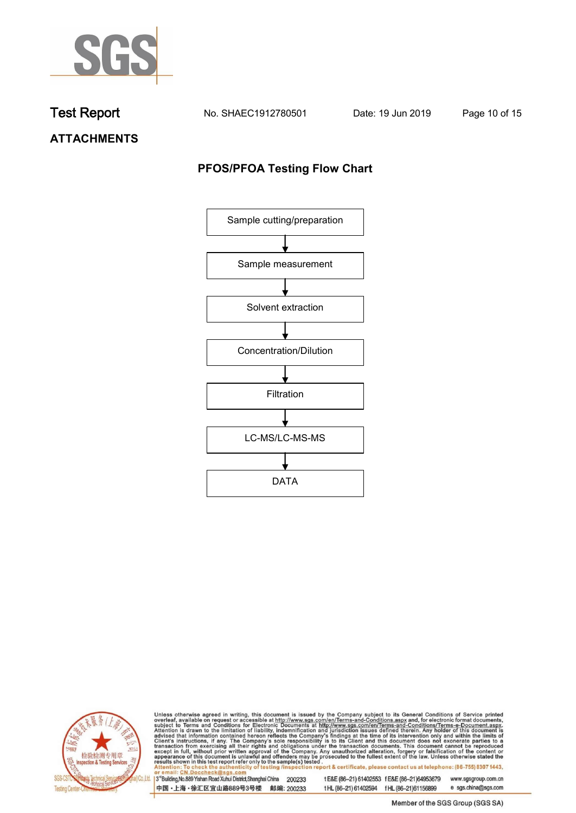

**Test Report. No. SHAEC1912780501 Date: 19 Jun 2019. Page 10 of 15.**

**ATTACHMENTS**

# **PFOS/PFOA Testing Flow Chart**





Unless otherwise agreed in writing, this document is issued by the Company subject to its General Conditions of Service printed overleaf, available on request or accessible at http://www.sgs.com/en/Terms-and-Conditions.asp

3<sup>rd</sup>Building, No.889 Yishan Road Xuhui District, Shanghai China 200233 中国·上海·徐汇区宜山路889号3号楼 邮编: 200233 t E&E (86-21) 61402553 f E&E (86-21)64953679 www.sgsgroup.com.cn t HL (86-21) 61402594 f HL (86-21) 61156899

e sgs.china@sgs.com Member of the SGS Group (SGS SA)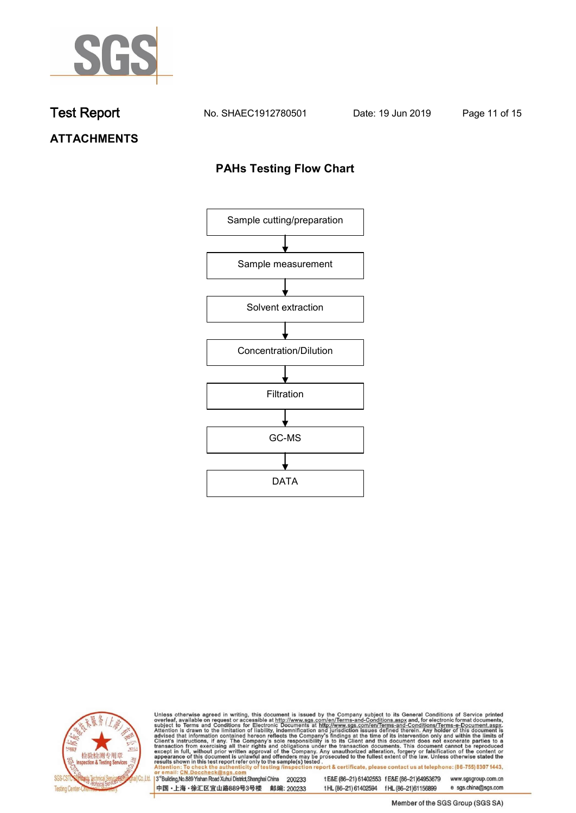

**Test Report. No. SHAEC1912780501 Date: 19 Jun 2019. Page 11 of 15.**

# **ATTACHMENTS**

### **PAHs Testing Flow Chart**





Unless otherwise agreed in writing, this document is issued by the Company subject to its General Conditions of Service printed overleaf, available on request or accessible at http://www.sgs.com/en/Terms-and-Conditions.asp

3<sup>rd</sup>Building, No.889 Yishan Road Xuhui District, Shanghai China 200233 中国·上海·徐汇区宜山路889号3号楼 邮编: 200233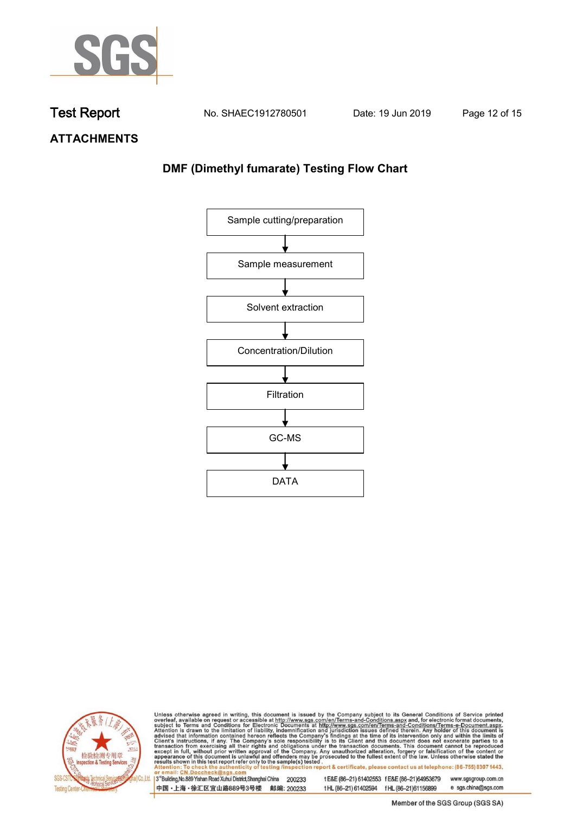

**Test Report. No. SHAEC1912780501 Date: 19 Jun 2019. Page 12 of 15.**

**ATTACHMENTS**

# **DMF (Dimethyl fumarate) Testing Flow Chart**





Unless otherwise agreed in writing, this document is issued by the Company subject to its General Conditions of Service printed overleaf, available on request or accessible at http://www.sgs.com/en/Terms-and-Conditions.asp

3<sup>rd</sup>Building, No.889 Yishan Road Xuhui District, Shanghai China 200233 中国·上海·徐汇区宜山路889号3号楼 邮编: 200233

t E&E (86-21) 61402553 f E&E (86-21)64953679 www.sgsgroup.com.cn t HL (86-21) 61402594 f HL (86-21) 61156899 e sgs.china@sgs.com

Member of the SGS Group (SGS SA)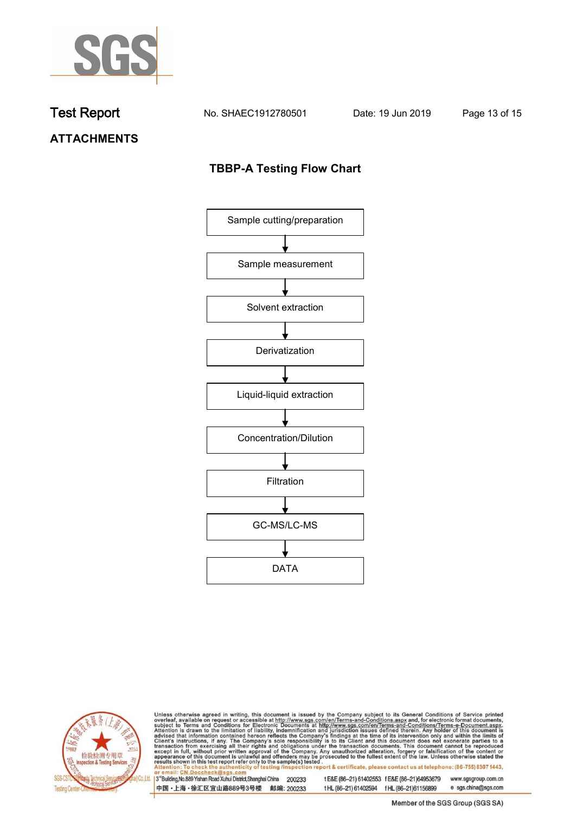

**Test Report No. SHAEC1912780501** Date: 19 Jun 2019 Page 13 of 15

# **ATTACHMENTS**

### **TBBP-A Testing Flow Chart**





Unless otherwise agreed in writing, this document is issued by the Company subject to its General Conditions of Service printed overleaf, available on request or accessible at http://www.sgs.com/en/Terms-and-Conditions.asp

3<sup>rd</sup>Building, No.889 Yishan Road Xuhui District, Shanghai China 200233 中国·上海·徐汇区宜山路889号3号楼 邮编: 200233 t E&E (86-21) 61402553 f E&E (86-21)64953679 www.sgsgroup.com.cn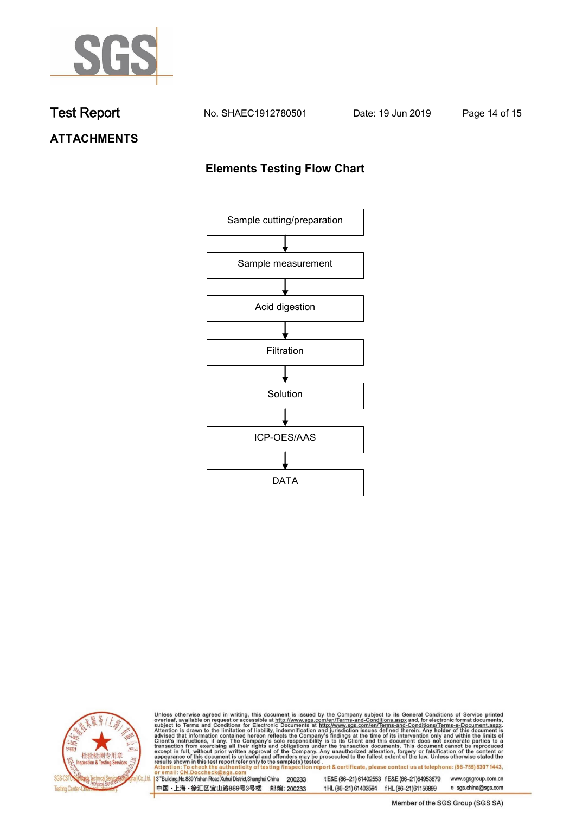

**Test Report No. SHAEC1912780501** Date: 19 Jun 2019 Page 14 of 15

# **ATTACHMENTS**

### **Elements Testing Flow Chart**





Unless otherwise agreed in writing, this document is issued by the Company subject to its General Conditions of Service printed overleaf, available on request or accessible at http://www.sgs.com/en/Terms-and-Conditions.asp

3<sup>rd</sup>Building, No.889 Yishan Road Xuhui District, Shanghai China 200233 中国·上海·徐汇区宜山路889号3号楼 邮编: 200233